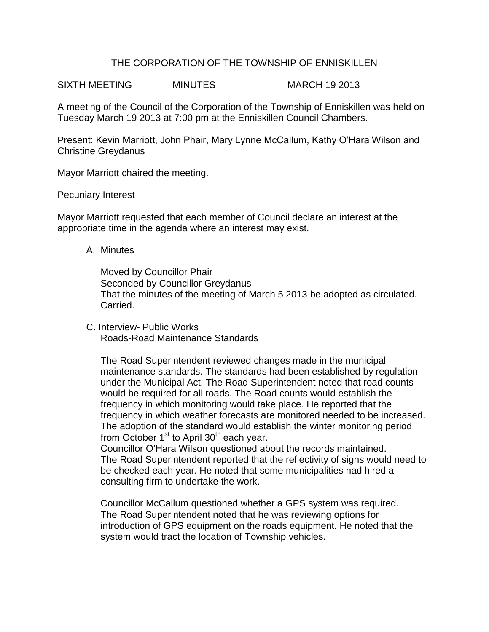# THE CORPORATION OF THE TOWNSHIP OF ENNISKILLEN

SIXTH MEETING MINUTES MARCH 19 2013

A meeting of the Council of the Corporation of the Township of Enniskillen was held on Tuesday March 19 2013 at 7:00 pm at the Enniskillen Council Chambers.

Present: Kevin Marriott, John Phair, Mary Lynne McCallum, Kathy O'Hara Wilson and Christine Greydanus

Mayor Marriott chaired the meeting.

## Pecuniary Interest

Mayor Marriott requested that each member of Council declare an interest at the appropriate time in the agenda where an interest may exist.

## A. Minutes

Moved by Councillor Phair Seconded by Councillor Greydanus That the minutes of the meeting of March 5 2013 be adopted as circulated. Carried.

C. Interview- Public Works Roads-Road Maintenance Standards

The Road Superintendent reviewed changes made in the municipal maintenance standards. The standards had been established by regulation under the Municipal Act. The Road Superintendent noted that road counts would be required for all roads. The Road counts would establish the frequency in which monitoring would take place. He reported that the frequency in which weather forecasts are monitored needed to be increased. The adoption of the standard would establish the winter monitoring period from October  $1<sup>st</sup>$  to April 30<sup>th</sup> each year.

Councillor O'Hara Wilson questioned about the records maintained. The Road Superintendent reported that the reflectivity of signs would need to be checked each year. He noted that some municipalities had hired a consulting firm to undertake the work.

Councillor McCallum questioned whether a GPS system was required. The Road Superintendent noted that he was reviewing options for introduction of GPS equipment on the roads equipment. He noted that the system would tract the location of Township vehicles.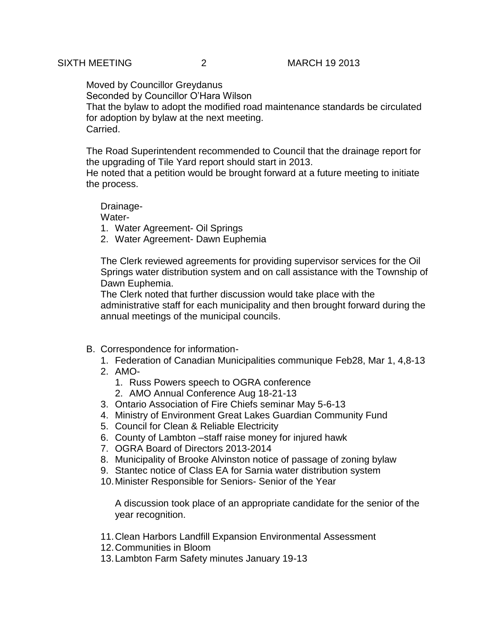Moved by Councillor Greydanus Seconded by Councillor O'Hara Wilson That the bylaw to adopt the modified road maintenance standards be circulated for adoption by bylaw at the next meeting. Carried.

The Road Superintendent recommended to Council that the drainage report for the upgrading of Tile Yard report should start in 2013.

He noted that a petition would be brought forward at a future meeting to initiate the process.

Drainage-Water-

1. Water Agreement- Oil Springs

2. Water Agreement- Dawn Euphemia

The Clerk reviewed agreements for providing supervisor services for the Oil Springs water distribution system and on call assistance with the Township of Dawn Euphemia.

The Clerk noted that further discussion would take place with the administrative staff for each municipality and then brought forward during the annual meetings of the municipal councils.

- B. Correspondence for information-
	- 1. Federation of Canadian Municipalities communique Feb28, Mar 1, 4,8-13
	- 2. AMO-
		- 1. Russ Powers speech to OGRA conference
		- 2. AMO Annual Conference Aug 18-21-13
	- 3. Ontario Association of Fire Chiefs seminar May 5-6-13
	- 4. Ministry of Environment Great Lakes Guardian Community Fund
	- 5. Council for Clean & Reliable Electricity
	- 6. County of Lambton –staff raise money for injured hawk
	- 7. OGRA Board of Directors 2013-2014
	- 8. Municipality of Brooke Alvinston notice of passage of zoning bylaw
	- 9. Stantec notice of Class EA for Sarnia water distribution system
	- 10.Minister Responsible for Seniors- Senior of the Year

A discussion took place of an appropriate candidate for the senior of the year recognition.

- 11.Clean Harbors Landfill Expansion Environmental Assessment
- 12.Communities in Bloom
- 13.Lambton Farm Safety minutes January 19-13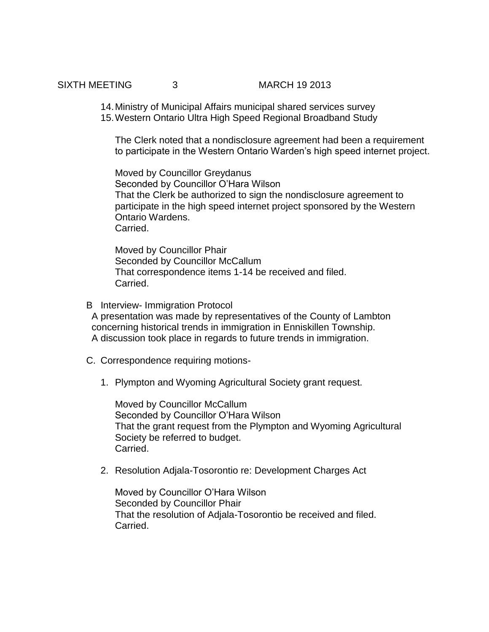SIXTH MEETING 3 MARCH 19 2013

14.Ministry of Municipal Affairs municipal shared services survey 15.Western Ontario Ultra High Speed Regional Broadband Study

The Clerk noted that a nondisclosure agreement had been a requirement to participate in the Western Ontario Warden's high speed internet project.

Moved by Councillor Greydanus Seconded by Councillor O'Hara Wilson That the Clerk be authorized to sign the nondisclosure agreement to participate in the high speed internet project sponsored by the Western Ontario Wardens. Carried.

Moved by Councillor Phair Seconded by Councillor McCallum That correspondence items 1-14 be received and filed. Carried.

- B Interview- Immigration Protocol A presentation was made by representatives of the County of Lambton concerning historical trends in immigration in Enniskillen Township. A discussion took place in regards to future trends in immigration.
- C. Correspondence requiring motions-
	- 1. Plympton and Wyoming Agricultural Society grant request.

Moved by Councillor McCallum Seconded by Councillor O'Hara Wilson That the grant request from the Plympton and Wyoming Agricultural Society be referred to budget. Carried.

2. Resolution Adjala-Tosorontio re: Development Charges Act

Moved by Councillor O'Hara Wilson Seconded by Councillor Phair That the resolution of Adjala-Tosorontio be received and filed. Carried.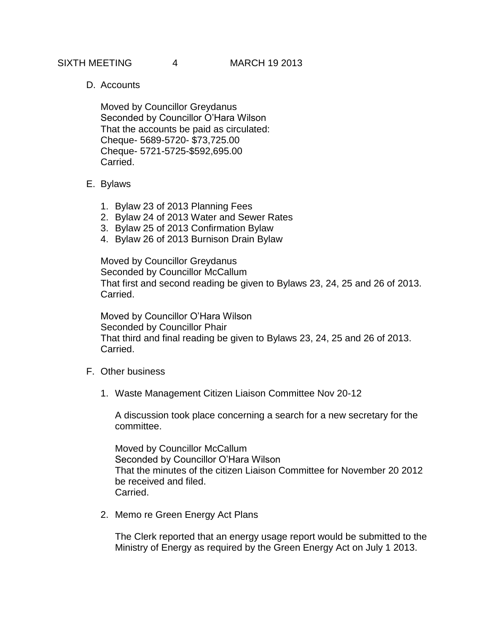D. Accounts

Moved by Councillor Greydanus Seconded by Councillor O'Hara Wilson That the accounts be paid as circulated: Cheque- 5689-5720- \$73,725.00 Cheque- 5721-5725-\$592,695.00 Carried.

# E. Bylaws

- 1. Bylaw 23 of 2013 Planning Fees
- 2. Bylaw 24 of 2013 Water and Sewer Rates
- 3. Bylaw 25 of 2013 Confirmation Bylaw
- 4. Bylaw 26 of 2013 Burnison Drain Bylaw

Moved by Councillor Greydanus Seconded by Councillor McCallum That first and second reading be given to Bylaws 23, 24, 25 and 26 of 2013. Carried.

Moved by Councillor O'Hara Wilson Seconded by Councillor Phair That third and final reading be given to Bylaws 23, 24, 25 and 26 of 2013. Carried.

- F. Other business
	- 1. Waste Management Citizen Liaison Committee Nov 20-12

A discussion took place concerning a search for a new secretary for the committee.

Moved by Councillor McCallum Seconded by Councillor O'Hara Wilson That the minutes of the citizen Liaison Committee for November 20 2012 be received and filed. Carried.

2. Memo re Green Energy Act Plans

The Clerk reported that an energy usage report would be submitted to the Ministry of Energy as required by the Green Energy Act on July 1 2013.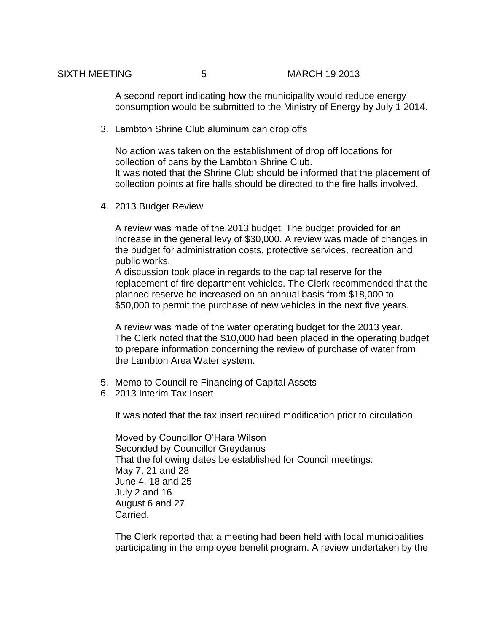A second report indicating how the municipality would reduce energy consumption would be submitted to the Ministry of Energy by July 1 2014.

3. Lambton Shrine Club aluminum can drop offs

No action was taken on the establishment of drop off locations for collection of cans by the Lambton Shrine Club. It was noted that the Shrine Club should be informed that the placement of collection points at fire halls should be directed to the fire halls involved.

4. 2013 Budget Review

A review was made of the 2013 budget. The budget provided for an increase in the general levy of \$30,000. A review was made of changes in the budget for administration costs, protective services, recreation and public works.

A discussion took place in regards to the capital reserve for the replacement of fire department vehicles. The Clerk recommended that the planned reserve be increased on an annual basis from \$18,000 to \$50,000 to permit the purchase of new vehicles in the next five years.

A review was made of the water operating budget for the 2013 year. The Clerk noted that the \$10,000 had been placed in the operating budget to prepare information concerning the review of purchase of water from the Lambton Area Water system.

- 5. Memo to Council re Financing of Capital Assets
- 6. 2013 Interim Tax Insert

It was noted that the tax insert required modification prior to circulation.

Moved by Councillor O'Hara Wilson Seconded by Councillor Greydanus That the following dates be established for Council meetings: May 7, 21 and 28 June 4, 18 and 25 July 2 and 16 August 6 and 27 Carried.

The Clerk reported that a meeting had been held with local municipalities participating in the employee benefit program. A review undertaken by the